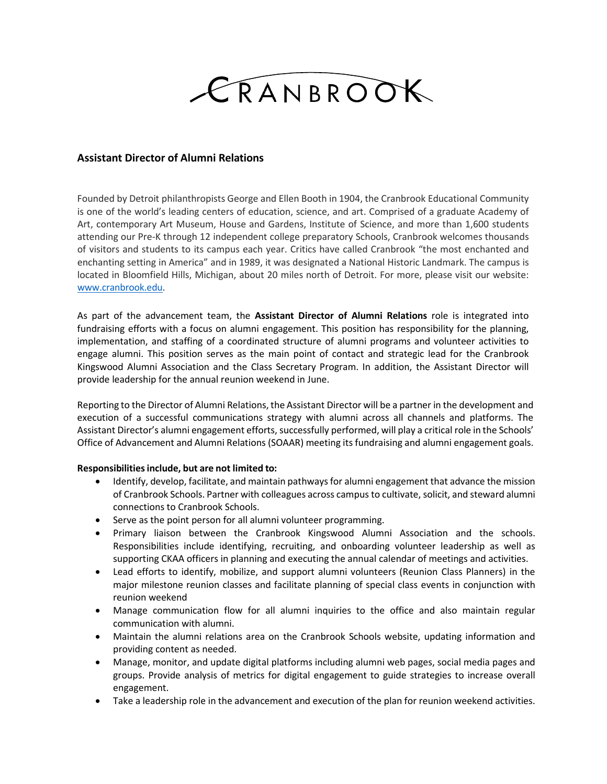

## **Assistant Director of Alumni Relations**

Founded by Detroit philanthropists George and Ellen Booth in 1904, the Cranbrook Educational Community is one of the world's leading centers of education, science, and art. Comprised of a graduate Academy of Art, contemporary Art Museum, House and Gardens, Institute of Science, and more than 1,600 students attending our Pre-K through 12 independent college preparatory Schools, Cranbrook welcomes thousands of visitors and students to its campus each year. Critics have called Cranbrook "the most enchanted and enchanting setting in America" and in 1989, it was designated a National Historic Landmark. The campus is located in Bloomfield Hills, Michigan, about 20 miles north of Detroit. For more, please visit our website: [www.cranbrook.edu.](http://www.cranbrook.edu/)

As part of the advancement team, the **Assistant Director of Alumni Relations** role is integrated into fundraising efforts with a focus on alumni engagement. This position has responsibility for the planning, implementation, and staffing of a coordinated structure of alumni programs and volunteer activities to engage alumni. This position serves as the main point of contact and strategic lead for the Cranbrook Kingswood Alumni Association and the Class Secretary Program. In addition, the Assistant Director will provide leadership for the annual reunion weekend in June.

Reporting to the Director of Alumni Relations, the Assistant Director will be a partner in the development and execution of a successful communications strategy with alumni across all channels and platforms. The Assistant Director's alumni engagement efforts, successfully performed, will play a critical role in the Schools' Office of Advancement and Alumni Relations (SOAAR) meeting its fundraising and alumni engagement goals.

## **Responsibilitiesinclude, but are not limited to:**

- Identify, develop, facilitate, and maintain pathways for alumni engagement that advance the mission of Cranbrook Schools. Partner with colleagues across campus to cultivate, solicit, and steward alumni connections to Cranbrook Schools.
- Serve as the point person for all alumni volunteer programming.
- Primary liaison between the Cranbrook Kingswood Alumni Association and the schools. Responsibilities include identifying, recruiting, and onboarding volunteer leadership as well as supporting CKAA officers in planning and executing the annual calendar of meetings and activities.
- Lead efforts to identify, mobilize, and support alumni volunteers (Reunion Class Planners) in the major milestone reunion classes and facilitate planning of special class events in conjunction with reunion weekend
- Manage communication flow for all alumni inquiries to the office and also maintain regular communication with alumni.
- Maintain the alumni relations area on the Cranbrook Schools website, updating information and providing content as needed.
- Manage, monitor, and update digital platforms including alumni web pages, social media pages and groups. Provide analysis of metrics for digital engagement to guide strategies to increase overall engagement.
- Take a leadership role in the advancement and execution of the plan for reunion weekend activities.